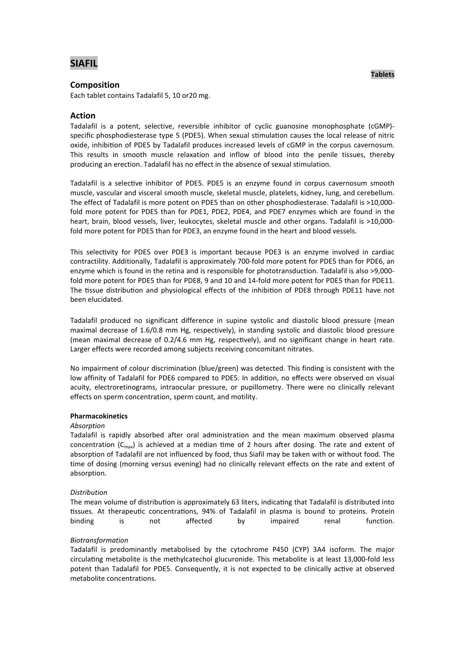# **SIAFIL**

# **Composition**

Each tablet contains Tadalafil 5, 10 or20 mg.

# **Action**

Tadalafil is a potent, selective, reversible inhibitor of cyclic guanosine monophosphate (cGMP) specific phosphodiesterase type 5 (PDE5). When sexual stimulation causes the local release of nitric oxide, inhibition of PDE5 by Tadalafil produces increased levels of cGMP in the corpus cavernosum. This results in smooth muscle relaxation and inflow of blood into the penile tissues, thereby producing an erection. Tadalafil has no effect in the absence of sexual stimulation.

Tadalafil is a selective inhibitor of PDE5. PDE5 is an enzyme found in corpus cavernosum smooth muscle, vascular and visceral smooth muscle, skeletal muscle, platelets, kidney, lung, and cerebellum. The effect of Tadalafil is more potent on PDE5 than on other phosphodiesterase. Tadalafil is >10,000 fold more potent for PDE5 than for PDE1, PDE2, PDE4, and PDE7 enzymes which are found in the heart, brain, blood vessels, liver, leukocytes, skeletal muscle and other organs. Tadalafil is >10,000fold more potent for PDE5 than for PDE3, an enzyme found in the heart and blood vessels.

This selectivity for PDE5 over PDE3 is important because PDE3 is an enzyme involved in cardiac contractility. Additionally, Tadalafil is approximately 700-fold more potent for PDE5 than for PDE6, an enzyme which is found in the retina and is responsible for phototransduction. Tadalafil is also >9,000 fold more potent for PDE5 than for PDE8, 9 and 10 and 14-fold more potent for PDE5 than for PDE11. The tissue distribution and physiological effects of the inhibition of PDE8 through PDE11 have not been elucidated.

Tadalafil produced no significant difference in supine systolic and diastolic blood pressure (mean maximal decrease of 1.6/0.8 mm Hg, respectively), in standing systolic and diastolic blood pressure (mean maximal decrease of 0.2/4.6 mm Hg, respectively), and no significant change in heart rate. Larger effects were recorded among subjects receiving concomitant nitrates.

No impairment of colour discrimination (blue/green) was detected. This finding is consistent with the low affinity of Tadalafil for PDE6 compared to PDE5. In addition, no effects were observed on visual acuity, electroretinograms, intraocular pressure, or pupillometry. There were no clinically relevant effects on sperm concentration, sperm count, and motility.

### **Pharmacokinetics**

#### *Absorption*

Tadalafil is rapidly absorbed after oral administration and the mean maximum observed plasma concentration ( $C<sub>max</sub>$ ) is achieved at a median time of 2 hours after dosing. The rate and extent of absorption of Tadalafil are not influenced by food, thus Siafil may be taken with or without food. The time of dosing (morning versus evening) had no clinically relevant effects on the rate and extent of absorption.

### *Distribution*

The mean volume of distribution is approximately 63 liters, indicating that Tadalafil is distributed into tissues. At therapeutic concentrations, 94% of Tadalafil in plasma is bound to proteins. Protein binding is not affected by impaired renal function.

#### *Biotransformation*

Tadalafil is predominantly metabolised by the cytochrome P450 (CYP) 3A4 isoform. The major circulating metabolite is the methylcatechol glucuronide. This metabolite is at least 13,000-fold less potent than Tadalafil for PDE5. Consequently, it is not expected to be clinically active at observed metabolite concentrations.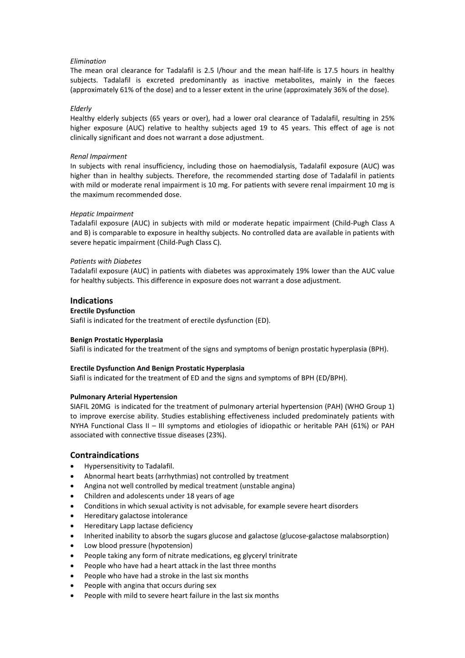### *Elimination*

The mean oral clearance for Tadalafil is 2.5 l/hour and the mean half-life is 17.5 hours in healthy subjects. Tadalafil is excreted predominantly as inactive metabolites, mainly in the faeces (approximately 61% of the dose) and to a lesser extent in the urine (approximately 36% of the dose).

#### *Elderly*

Healthy elderly subjects (65 years or over), had a lower oral clearance of Tadalafil, resulting in 25% higher exposure (AUC) relative to healthy subjects aged 19 to 45 years. This effect of age is not clinically significant and does not warrant a dose adjustment.

#### *Renal Impairment*

In subjects with renal insufficiency, including those on haemodialysis, Tadalafil exposure (AUC) was higher than in healthy subjects. Therefore, the recommended starting dose of Tadalafil in patients with mild or moderate renal impairment is 10 mg. For patients with severe renal impairment 10 mg is the maximum recommended dose.

### *Hepatic Impairment*

Tadalafil exposure (AUC) in subjects with mild or moderate hepatic impairment (Child-Pugh Class A and B) is comparable to exposure in healthy subjects. No controlled data are available in patients with severe hepatic impairment (Child-Pugh Class C).

### *Patients with Diabetes*

Tadalafil exposure (AUC) in patients with diabetes was approximately 19% lower than the AUC value for healthy subjects. This difference in exposure does not warrant a dose adjustment.

### **Indications**

### **Erectile Dysfunction**

Siafil is indicated for the treatment of erectile dysfunction (ED).

### **Benign Prostatic Hyperplasia**

Siafil is indicated for the treatment of the signs and symptoms of benign prostatic hyperplasia (BPH).

### **Erectile Dysfunction And Benign Prostatic Hyperplasia**

Siafil is indicated for the treatment of ED and the signs and symptoms of BPH (ED/BPH).

### **Pulmonary Arterial Hypertension**

SIAFIL 20MG is indicated for the treatment of pulmonary arterial hypertension (PAH) (WHO Group 1) to improve exercise ability. Studies establishing effectiveness included predominately patients with NYHA Functional Class II – III symptoms and etiologies of idiopathic or heritable PAH (61%) or PAH associated with connective tissue diseases (23%).

### **Contraindications**

- Hypersensitivity to Tadalafil.
- Abnormal heart beats (arrhythmias) not controlled by treatment
- Angina not well controlled by medical treatment (unstable angina)
- Children and adolescents under 18 years of age
- Conditions in which sexual activity is not advisable, for example severe heart disorders
- Hereditary galactose intolerance
- Hereditary Lapp lactase deficiency
- Inherited inability to absorb the sugars glucose and galactose (glucose-galactose malabsorption)
- Low blood pressure (hypotension)
- People taking any form of nitrate medications, eg glyceryl trinitrate
- People who have had a heart attack in the last three months
- People who have had a stroke in the last six months
- People with angina that occurs during sex
- People with mild to severe heart failure in the last six months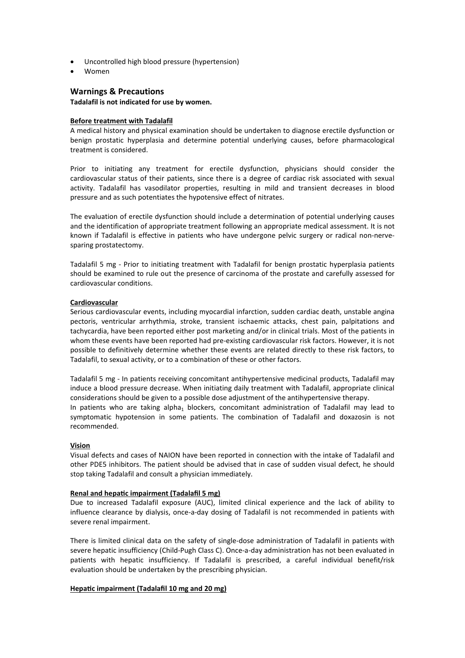- Uncontrolled high blood pressure (hypertension)
- Women

# **Warnings & Precautions**

### **Tadalafil is not indicated for use by women.**

#### **Before treatment with Tadalafil**

A medical history and physical examination should be undertaken to diagnose erectile dysfunction or benign prostatic hyperplasia and determine potential underlying causes, before pharmacological treatment is considered.

Prior to initiating any treatment for erectile dysfunction, physicians should consider the cardiovascular status of their patients, since there is a degree of cardiac risk associated with sexual activity. Tadalafil has vasodilator properties, resulting in mild and transient decreases in blood pressure and as such potentiates the hypotensive effect of nitrates.

The evaluation of erectile dysfunction should include a determination of potential underlying causes and the identification of appropriate treatment following an appropriate medical assessment. It is not known if Tadalafil is effective in patients who have undergone pelvic surgery or radical non-nervesparing prostatectomy.

Tadalafil 5 mg - Prior to initiating treatment with Tadalafil for benign prostatic hyperplasia patients should be examined to rule out the presence of carcinoma of the prostate and carefully assessed for cardiovascular conditions.

### **Cardiovascular**

Serious cardiovascular events, including myocardial infarction, sudden cardiac death, unstable angina pectoris, ventricular arrhythmia, stroke, transient ischaemic attacks, chest pain, palpitations and tachycardia, have been reported either post marketing and/or in clinical trials. Most of the patients in whom these events have been reported had pre-existing cardiovascular risk factors. However, it is not possible to definitively determine whether these events are related directly to these risk factors, to Tadalafil, to sexual activity, or to a combination of these or other factors.

Tadalafil 5 mg - In patients receiving concomitant antihypertensive medicinal products, Tadalafil may induce a blood pressure decrease. When initiating daily treatment with Tadalafil, appropriate clinical considerations should be given to a possible dose adjustment of the antihypertensive therapy. In patients who are taking alpha<sub>1</sub> blockers, concomitant administration of Tadalafil may lead to symptomatic hypotension in some patients. The combination of Tadalafil and doxazosin is not recommended.

### **Vision**

Visual defects and cases of NAION have been reported in connection with the intake of Tadalafil and other PDE5 inhibitors. The patient should be advised that in case of sudden visual defect, he should stop taking Tadalafil and consult a physician immediately.

#### **Renal and hepatic impairment (Tadalafil 5 mg)**

Due to increased Tadalafil exposure (AUC), limited clinical experience and the lack of ability to influence clearance by dialysis, once-a-day dosing of Tadalafil is not recommended in patients with severe renal impairment.

There is limited clinical data on the safety of single-dose administration of Tadalafil in patients with severe hepatic insufficiency (Child-Pugh Class C). Once-a-day administration has not been evaluated in patients with hepatic insufficiency. If Tadalafil is prescribed, a careful individual benefit/risk evaluation should be undertaken by the prescribing physician.

### **Hepatic impairment (Tadalafil 10 mg and 20 mg)**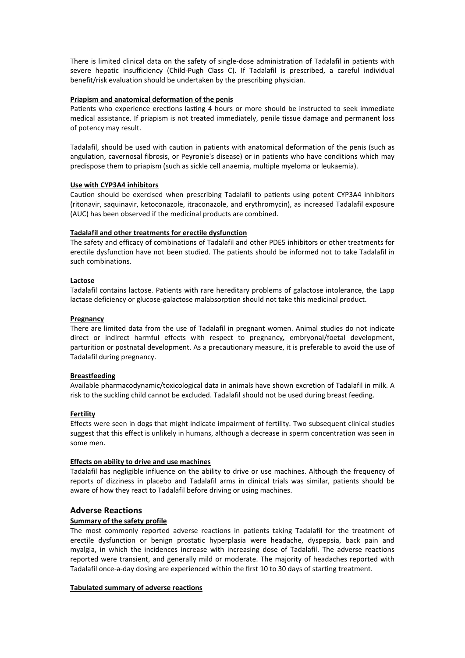There is limited clinical data on the safety of single-dose administration of Tadalafil in patients with severe hepatic insufficiency (Child-Pugh Class C). If Tadalafil is prescribed, a careful individual benefit/risk evaluation should be undertaken by the prescribing physician.

#### **Priapism and anatomical deformation of the penis**

Patients who experience erections lasting 4 hours or more should be instructed to seek immediate medical assistance. If priapism is not treated immediately, penile tissue damage and permanent loss of potency may result.

Tadalafil, should be used with caution in patients with anatomical deformation of the penis (such as angulation, cavernosal fibrosis, or Peyronie's disease) or in patients who have conditions which may predispose them to priapism (such as sickle cell anaemia, multiple myeloma or leukaemia).

### **Use with CYP3A4 inhibitors**

Caution should be exercised when prescribing Tadalafil to patients using potent CYP3A4 inhibitors (ritonavir, saquinavir, ketoconazole, itraconazole, and erythromycin), as increased Tadalafil exposure (AUC) has been observed if the medicinal products are combined.

### **Tadalafil and other treatments for erectile dysfunction**

The safety and efficacy of combinations of Tadalafil and other PDE5 inhibitors or other treatments for erectile dysfunction have not been studied. The patients should be informed not to take Tadalafil in such combinations.

### **Lactose**

Tadalafil contains lactose. Patients with rare hereditary problems of galactose intolerance, the Lapp lactase deficiency or glucose-galactose malabsorption should not take this medicinal product.

### **Pregnancy**

There are limited data from the use of Tadalafil in pregnant women. Animal studies do not indicate direct or indirect harmful effects with respect to pregnancy*,* embryonal/foetal development, parturition or postnatal development. As a precautionary measure, it is preferable to avoid the use of Tadalafil during pregnancy.

### **Breastfeeding**

Available pharmacodynamic/toxicological data in animals have shown excretion of Tadalafil in milk. A risk to the suckling child cannot be excluded. Tadalafil should not be used during breast feeding.

#### **Fertility**

Effects were seen in dogs that might indicate impairment of fertility. Two subsequent clinical studies suggest that this effect is unlikely in humans, although a decrease in sperm concentration was seen in some men.

#### **Effects on ability to drive and use machines**

Tadalafil has negligible influence on the ability to drive or use machines. Although the frequency of reports of dizziness in placebo and Tadalafil arms in clinical trials was similar, patients should be aware of how they react to Tadalafil before driving or using machines.

### **Adverse Reactions**

### **Summary of the safety profile**

The most commonly reported adverse reactions in patients taking Tadalafil for the treatment of erectile dysfunction or benign prostatic hyperplasia were headache, dyspepsia, back pain and myalgia, in which the incidences increase with increasing dose of Tadalafil. The adverse reactions reported were transient, and generally mild or moderate. The majority of headaches reported with Tadalafil once-a-day dosing are experienced within the first 10 to 30 days of starting treatment.

### **Tabulated summary of adverse reactions**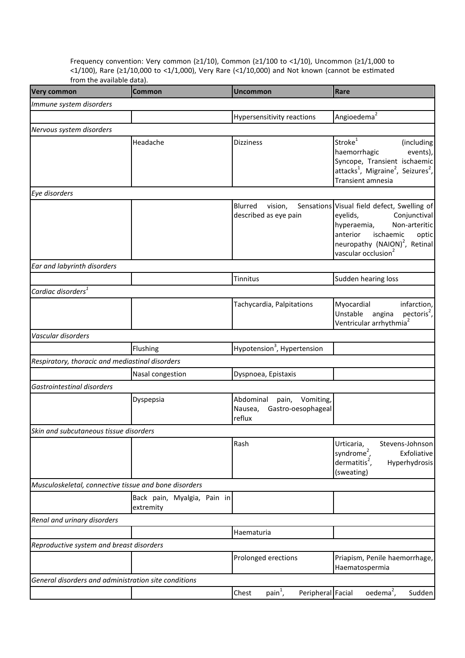Frequency convention: Very common (≥1/10), Common (≥1/100 to <1/10), Uncommon (≥1/1,000 to <1/100), Rare (≥1/10,000 to <1/1,000), Very Rare (<1/10,000) and Not known (cannot be esmated from the available data).

| <b>Very common</b>                              | <b>Common</b>                                         | <b>Uncommon</b>                                                         | Rare                                                                                                                                                                                                                      |
|-------------------------------------------------|-------------------------------------------------------|-------------------------------------------------------------------------|---------------------------------------------------------------------------------------------------------------------------------------------------------------------------------------------------------------------------|
| Immune system disorders                         |                                                       |                                                                         |                                                                                                                                                                                                                           |
|                                                 |                                                       | <b>Hypersensitivity reactions</b>                                       | Angioedema <sup>2</sup>                                                                                                                                                                                                   |
| Nervous system disorders                        |                                                       |                                                                         |                                                                                                                                                                                                                           |
|                                                 | Headache                                              | <b>Dizziness</b>                                                        | Stroke <sup>1</sup><br>(including<br>haemorrhagic<br>events),<br>Syncope, Transient ischaemic<br>attacks <sup>1</sup> , Migraine <sup>2</sup> , Seizures <sup>2</sup> ,<br>Transient amnesia                              |
| Eye disorders                                   |                                                       |                                                                         |                                                                                                                                                                                                                           |
|                                                 |                                                       | Blurred<br>vision,<br>described as eye pain                             | Sensations Visual field defect, Swelling of<br>Conjunctival<br>eyelids,<br>Non-arteritic<br>hyperaemia,<br>ischaemic<br>anterior<br>optic<br>neuropathy (NAION) <sup>2</sup> , Retinal<br>vascular occlusion <sup>2</sup> |
| Ear and labyrinth disorders                     |                                                       |                                                                         |                                                                                                                                                                                                                           |
|                                                 |                                                       | Tinnitus                                                                | Sudden hearing loss                                                                                                                                                                                                       |
| Cardiac disorders <sup>1</sup>                  |                                                       |                                                                         |                                                                                                                                                                                                                           |
|                                                 |                                                       | Tachycardia, Palpitations                                               | Myocardial<br>infarction,<br>pectoris <sup>2</sup> ,<br>Unstable<br>angina<br>Ventricular arrhythmia <sup>2</sup>                                                                                                         |
| Vascular disorders                              |                                                       |                                                                         |                                                                                                                                                                                                                           |
|                                                 | Flushing                                              | Hypotension <sup>3</sup> , Hypertension                                 |                                                                                                                                                                                                                           |
| Respiratory, thoracic and mediastinal disorders |                                                       |                                                                         |                                                                                                                                                                                                                           |
|                                                 | Nasal congestion                                      | Dyspnoea, Epistaxis                                                     |                                                                                                                                                                                                                           |
| Gastrointestinal disorders                      |                                                       |                                                                         |                                                                                                                                                                                                                           |
|                                                 | Dyspepsia                                             | Abdominal<br>pain, Vomiting,<br>Gastro-oesophageal<br>Nausea,<br>reflux |                                                                                                                                                                                                                           |
| Skin and subcutaneous tissue disorders          |                                                       |                                                                         |                                                                                                                                                                                                                           |
|                                                 |                                                       | Rash                                                                    | Urticaria,<br>Stevens-Johnson<br>syndrome <sup>2</sup> ,<br>Exfoliative<br>dermatitis <sup>2</sup> ,<br>Hyperhydrosis<br>(sweating)                                                                                       |
|                                                 | Musculoskeletal, connective tissue and bone disorders |                                                                         |                                                                                                                                                                                                                           |
|                                                 | Back pain, Myalgia, Pain in<br>extremity              |                                                                         |                                                                                                                                                                                                                           |
| Renal and urinary disorders                     |                                                       |                                                                         |                                                                                                                                                                                                                           |
|                                                 |                                                       | Haematuria                                                              |                                                                                                                                                                                                                           |
| Reproductive system and breast disorders        |                                                       |                                                                         |                                                                                                                                                                                                                           |
|                                                 |                                                       | Prolonged erections                                                     | Priapism, Penile haemorrhage,<br>Haematospermia                                                                                                                                                                           |
|                                                 | General disorders and administration site conditions  |                                                                         |                                                                                                                                                                                                                           |
|                                                 |                                                       | $\text{pain}^1$ ,<br>Chest<br>Peripheral Facial                         | oedema <sup>2</sup> ,<br>Sudden                                                                                                                                                                                           |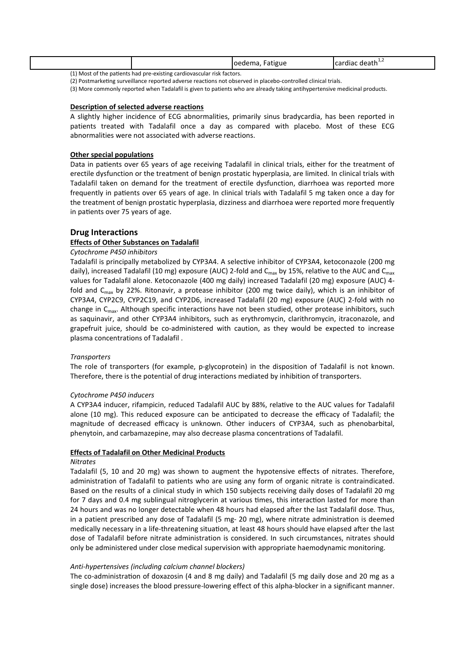|   |        |  |  | $ -$<br>-atigue<br>.oedema | -c death <sup>-</sup><br>cordine<br>qiac<br>udi. |  |
|---|--------|--|--|----------------------------|--------------------------------------------------|--|
| . | $\sim$ |  |  |                            |                                                  |  |

(1) Most of the patients had pre-existing cardiovascular risk factors.

(2) Postmarketing surveillance reported adverse reactions not observed in placebo-controlled clinical trials.

(3) More commonly reported when Tadalafil is given to patients who are already taking antihypertensive medicinal products.

#### **Description of selected adverse reactions**

A slightly higher incidence of ECG abnormalities, primarily sinus bradycardia, has been reported in patients treated with Tadalafil once a day as compared with placebo. Most of these ECG abnormalities were not associated with adverse reactions.

#### **Other special populations**

Data in patients over 65 years of age receiving Tadalafil in clinical trials, either for the treatment of erectile dysfunction or the treatment of benign prostatic hyperplasia, are limited. In clinical trials with Tadalafil taken on demand for the treatment of erectile dysfunction, diarrhoea was reported more frequently in patients over 65 years of age. In clinical trials with Tadalafil 5 mg taken once a day for the treatment of benign prostatic hyperplasia, dizziness and diarrhoea were reported more frequently in patients over 75 years of age.

### **Drug Interactions**

#### **Effects of Other Substances on Tadalafil**

#### *Cytochrome P450 inhibitors*

Tadalafil is principally metabolized by CYP3A4. A selective inhibitor of CYP3A4, ketoconazole (200 mg daily), increased Tadalafil (10 mg) exposure (AUC) 2-fold and  $C_{\text{max}}$  by 15%, relative to the AUC and  $C_{\text{max}}$ values for Tadalafil alone. Ketoconazole (400 mg daily) increased Tadalafil (20 mg) exposure (AUC) 4 fold and C<sub>max</sub> by 22%. Ritonavir, a protease inhibitor (200 mg twice daily), which is an inhibitor of CYP3A4, CYP2C9, CYP2C19, and CYP2D6, increased Tadalafil (20 mg) exposure (AUC) 2-fold with no change in  $C_{\text{max}}$ . Although specific interactions have not been studied, other protease inhibitors, such as saquinavir, and other CYP3A4 inhibitors, such as erythromycin, clarithromycin, itraconazole, and grapefruit juice, should be co-administered with caution, as they would be expected to increase plasma concentrations of Tadalafil .

#### *Transporters*

The role of transporters (for example, p-glycoprotein) in the disposition of Tadalafil is not known. Therefore, there is the potential of drug interactions mediated by inhibition of transporters.

#### *Cytochrome P450 inducers*

A CYP3A4 inducer, rifampicin, reduced Tadalafil AUC by 88%, relative to the AUC values for Tadalafil alone (10 mg). This reduced exposure can be ancipated to decrease the efficacy of Tadalafil; the magnitude of decreased efficacy is unknown. Other inducers of CYP3A4, such as phenobarbital, phenytoin, and carbamazepine, may also decrease plasma concentrations of Tadalafil.

#### **Effects of Tadalafil on Other Medicinal Products**

#### *Nitrates*

Tadalafil (5, 10 and 20 mg) was shown to augment the hypotensive effects of nitrates. Therefore, administration of Tadalafil to patients who are using any form of organic nitrate is contraindicated. Based on the results of a clinical study in which 150 subjects receiving daily doses of Tadalafil 20 mg for 7 days and 0.4 mg sublingual nitroglycerin at various times, this interaction lasted for more than 24 hours and was no longer detectable when 48 hours had elapsed after the last Tadalafil dose. Thus, in a patient prescribed any dose of Tadalafil  $(5 \text{ mg} - 20 \text{ mg})$ , where nitrate administration is deemed medically necessary in a life-threatening situation, at least 48 hours should have elapsed after the last dose of Tadalafil before nitrate administration is considered. In such circumstances, nitrates should only be administered under close medical supervision with appropriate haemodynamic monitoring.

#### *Anti-hypertensives (including calcium channel blockers)*

The co-administration of doxazosin (4 and 8 mg daily) and Tadalafil (5 mg daily dose and 20 mg as a single dose) increases the blood pressure-lowering effect of this alpha-blocker in a significant manner.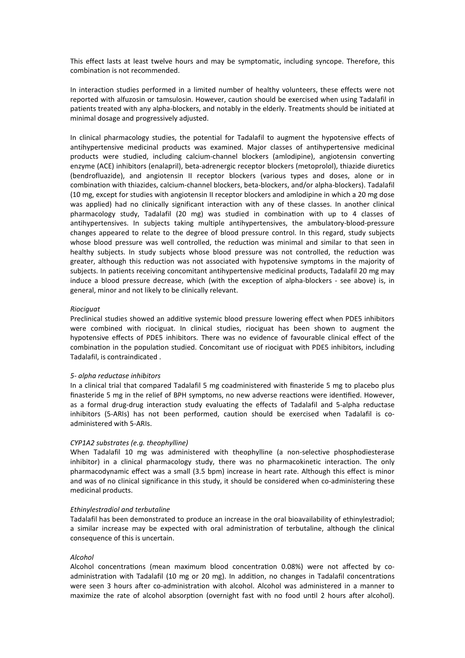This effect lasts at least twelve hours and may be symptomatic, including syncope. Therefore, this combination is not recommended.

In interaction studies performed in a limited number of healthy volunteers, these effects were not reported with alfuzosin or tamsulosin. However, caution should be exercised when using Tadalafil in patients treated with any alpha-blockers, and notably in the elderly. Treatments should be initiated at minimal dosage and progressively adjusted.

In clinical pharmacology studies, the potential for Tadalafil to augment the hypotensive effects of antihypertensive medicinal products was examined. Major classes of antihypertensive medicinal products were studied, including calcium-channel blockers (amlodipine), angiotensin converting enzyme (ACE) inhibitors (enalapril), beta-adrenergic receptor blockers (metoprolol), thiazide diuretics (bendrofluazide), and angiotensin II receptor blockers (various types and doses, alone or in combination with thiazides, calcium-channel blockers, beta-blockers, and/or alpha-blockers). Tadalafil (10 mg, except for studies with angiotensin II receptor blockers and amlodipine in which a 20 mg dose was applied) had no clinically significant interaction with any of these classes. In another clinical pharmacology study, Tadalafil (20 mg) was studied in combination with up to 4 classes of antihypertensives. In subjects taking multiple antihypertensives, the ambulatory-blood-pressure changes appeared to relate to the degree of blood pressure control. In this regard, study subjects whose blood pressure was well controlled, the reduction was minimal and similar to that seen in healthy subjects. In study subjects whose blood pressure was not controlled, the reduction was greater, although this reduction was not associated with hypotensive symptoms in the majority of subjects. In patients receiving concomitant antihypertensive medicinal products, Tadalafil 20 mg may induce a blood pressure decrease, which (with the exception of alpha-blockers - see above) is, in general, minor and not likely to be clinically relevant.

### *Riociguat*

Preclinical studies showed an additive systemic blood pressure lowering effect when PDE5 inhibitors were combined with riociguat. In clinical studies, riociguat has been shown to augment the hypotensive effects of PDE5 inhibitors. There was no evidence of favourable clinical effect of the combination in the population studied. Concomitant use of riociguat with PDE5 inhibitors, including Tadalafil, is contraindicated .

#### *5- alpha reductase inhibitors*

In a clinical trial that compared Tadalafil 5 mg coadministered with finasteride 5 mg to placebo plus finasteride 5 mg in the relief of BPH symptoms, no new adverse reactions were identified. However, as a formal drug-drug interaction study evaluating the effects of Tadalafil and 5-alpha reductase inhibitors (5-ARIs) has not been performed, caution should be exercised when Tadalafil is coadministered with 5-ARIs.

#### *CYP1A2 substrates (e.g. theophylline)*

When Tadalafil 10 mg was administered with theophylline (a non-selective phosphodiesterase inhibitor) in a clinical pharmacology study, there was no pharmacokinetic interaction. The only pharmacodynamic effect was a small (3.5 bpm) increase in heart rate. Although this effect is minor and was of no clinical significance in this study, it should be considered when co-administering these medicinal products.

#### *Ethinylestradiol and terbutaline*

Tadalafil has been demonstrated to produce an increase in the oral bioavailability of ethinylestradiol; a similar increase may be expected with oral administration of terbutaline, although the clinical consequence of this is uncertain.

#### *Alcohol*

Alcohol concentrations (mean maximum blood concentration 0.08%) were not affected by coadministration with Tadalafil (10 mg or 20 mg). In addition, no changes in Tadalafil concentrations were seen 3 hours after co-administration with alcohol. Alcohol was administered in a manner to maximize the rate of alcohol absorption (overnight fast with no food until 2 hours after alcohol).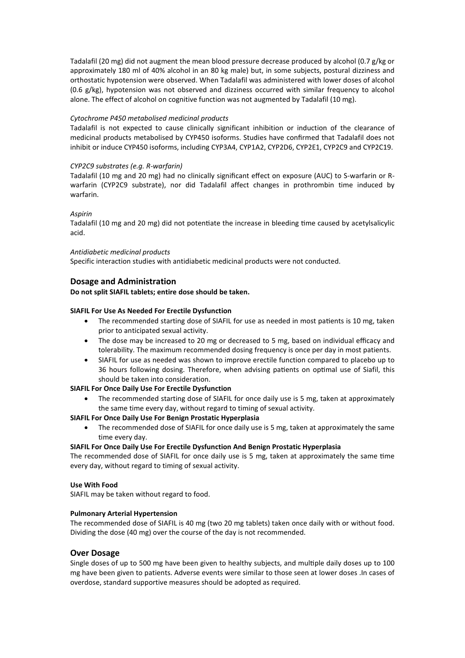Tadalafil (20 mg) did not augment the mean blood pressure decrease produced by alcohol (0.7 g/kg or approximately 180 ml of 40% alcohol in an 80 kg male) but, in some subjects, postural dizziness and orthostatic hypotension were observed. When Tadalafil was administered with lower doses of alcohol (0.6 g/kg), hypotension was not observed and dizziness occurred with similar frequency to alcohol alone. The effect of alcohol on cognitive function was not augmented by Tadalafil (10 mg).

### *Cytochrome P450 metabolised medicinal products*

Tadalafil is not expected to cause clinically significant inhibition or induction of the clearance of medicinal products metabolised by CYP450 isoforms. Studies have confirmed that Tadalafil does not inhibit or induce CYP450 isoforms, including CYP3A4, CYP1A2, CYP2D6, CYP2E1, CYP2C9 and CYP2C19.

### *CYP2C9 substrates (e.g. R-warfarin)*

Tadalafil (10 mg and 20 mg) had no clinically significant effect on exposure (AUC) to S-warfarin or Rwarfarin (CYP2C9 substrate), nor did Tadalafil affect changes in prothrombin time induced by warfarin.

# *Aspirin*

Tadalafil (10 mg and 20 mg) did not potentiate the increase in bleeding time caused by acetylsalicylic acid.

### *Antidiabetic medicinal products*

Specific interaction studies with antidiabetic medicinal products were not conducted.

# **Dosage and Administration**

### **Do not split SIAFIL tablets; entire dose should be taken.**

# **SIAFIL For Use As Needed For Erectile Dysfunction**

- The recommended starting dose of SIAFIL for use as needed in most patients is 10 mg, taken prior to anticipated sexual activity.
- The dose may be increased to 20 mg or decreased to 5 mg, based on individual efficacy and tolerability. The maximum recommended dosing frequency is once per day in most patients.
- SIAFIL for use as needed was shown to improve erectile function compared to placebo up to 36 hours following dosing. Therefore, when advising patients on optimal use of Siafil, this should be taken into consideration.

### **SIAFIL For Once Daily Use For Erectile Dysfunction**

 The recommended starting dose of SIAFIL for once daily use is 5 mg, taken at approximately the same time every day, without regard to timing of sexual activity.

### **SIAFIL For Once Daily Use For Benign Prostatic Hyperplasia**

 The recommended dose of SIAFIL for once daily use is 5 mg, taken at approximately the same time every day.

### **SIAFIL For Once Daily Use For Erectile Dysfunction And Benign Prostatic Hyperplasia**

The recommended dose of SIAFIL for once daily use is 5 mg, taken at approximately the same time every day, without regard to timing of sexual activity.

### **Use With Food**

SIAFIL may be taken without regard to food.

### **Pulmonary Arterial Hypertension**

The recommended dose of SIAFIL is 40 mg (two 20 mg tablets) taken once daily with or without food. Dividing the dose (40 mg) over the course of the day is not recommended.

# **Over Dosage**

Single doses of up to 500 mg have been given to healthy subjects, and multiple daily doses up to 100 mg have been given to patients. Adverse events were similar to those seen at lower doses .In cases of overdose, standard supportive measures should be adopted as required.